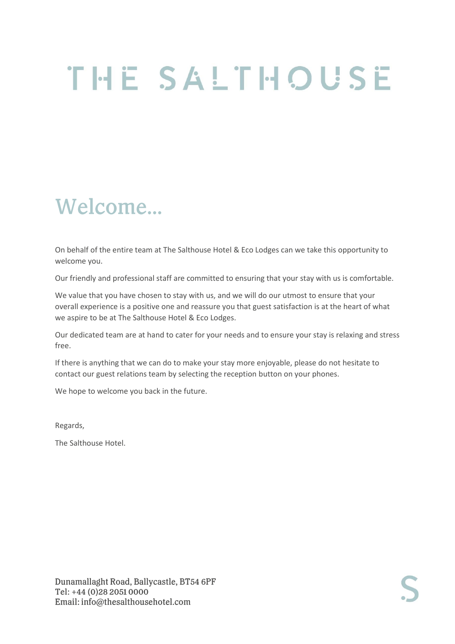# THE SALTHOUSE

# Welcome...

On behalf of the entire team at The Salthouse Hotel & Eco Lodges can we take this opportunity to welcome you.

Our friendly and professional staff are committed to ensuring that your stay with us is comfortable.

We value that you have chosen to stay with us, and we will do our utmost to ensure that your overall experience is a positive one and reassure you that guest satisfaction is at the heart of what we aspire to be at The Salthouse Hotel & Eco Lodges.

Our dedicated team are at hand to cater for your needs and to ensure your stay is relaxing and stress free.

If there is anything that we can do to make your stay more enjoyable, please do not hesitate to contact our guest relations team by selecting the reception button on your phones.

We hope to welcome you back in the future.

Regards,

The Salthouse Hotel.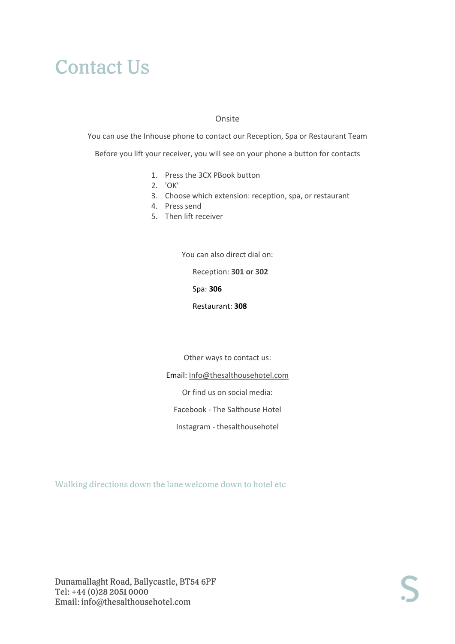### **Contact Us**

#### Onsite

You can use the Inhouse phone to contact our Reception, Spa or Restaurant Team Before you lift your receiver, you will see on your phone a button for contacts

- 1. Press the 3CX PBook button
- 2. 'OK'
- 3. Choose which extension: reception, spa, or restaurant
- 4. Press send
- 5. Then lift receiver

You can also direct dial on:

Reception: **301 or 302**

Spa: **306**

Restaurant: **308**

Other ways to contact us:

Email: [Info@thesalthousehotel.com](mailto:Info@thesalthousehotel.com)

Or find us on social media:

Facebook - The Salthouse Hotel

Instagram - thesalthousehotel

Walking directions down the lane welcome down to hotel etc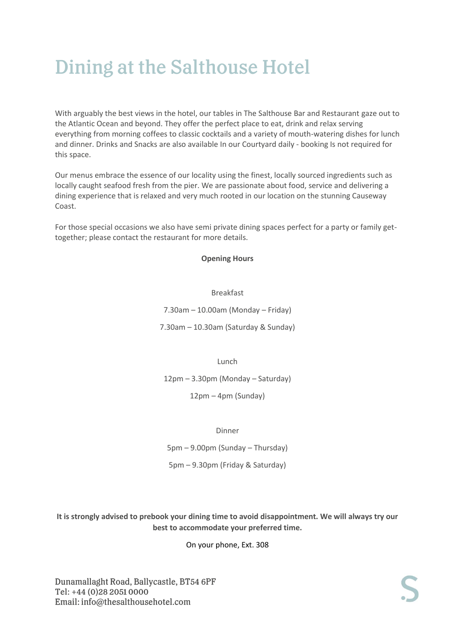### Dining at the Salthouse Hotel

With arguably the best views in the hotel, our tables in The Salthouse Bar and Restaurant gaze out to the Atlantic Ocean and beyond. They offer the perfect place to eat, drink and relax serving everything from morning coffees to classic cocktails and a variety of mouth-watering dishes for lunch and dinner. Drinks and Snacks are also available In our Courtyard daily - booking Is not required for this space.

Our menus embrace the essence of our locality using the finest, locally sourced ingredients such as locally caught seafood fresh from the pier. We are passionate about food, service and delivering a dining experience that is relaxed and very much rooted in our location on the stunning Causeway Coast.

For those special occasions we also have semi private dining spaces perfect for a party or family gettogether; please contact the restaurant for more details.

#### **Opening Hours**

#### Breakfast

7.30am – 10.00am (Monday – Friday)

7.30am – 10.30am (Saturday & Sunday)

Lunch

12pm – 3.30pm (Monday – Saturday)

12pm – 4pm (Sunday)

Dinner

5pm – 9.00pm (Sunday – Thursday)

5pm – 9.30pm (Friday & Saturday)

**It is strongly advised to prebook your dining time to avoid disappointment. We will always try our best to accommodate your preferred time.**

On your phone, Ext. 308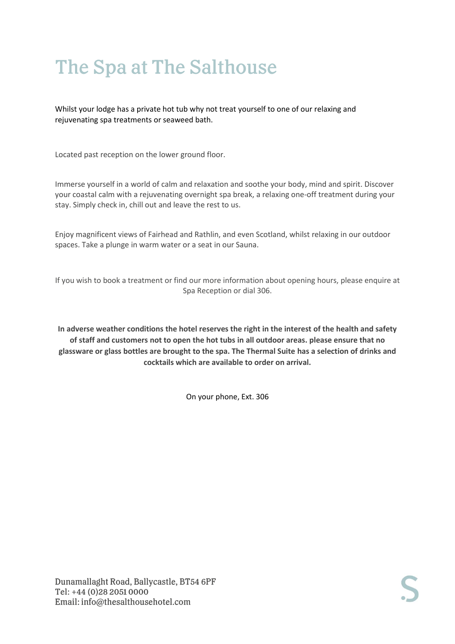# The Spa at The Salthouse

Whilst your lodge has a private hot tub why not treat yourself to one of our relaxing and rejuvenating spa treatments or seaweed bath.

Located past reception on the lower ground floor.

Immerse yourself in a world of calm and relaxation and soothe your body, mind and spirit. Discover your coastal calm with a rejuvenating overnight spa break, a relaxing one-off treatment during your stay. Simply check in, chill out and leave the rest to us.

Enjoy magnificent views of Fairhead and Rathlin, and even Scotland, whilst relaxing in our outdoor spaces. Take a plunge in warm water or a seat in our Sauna.

If you wish to book a treatment or find our more information about opening hours, please enquire at Spa Reception or dial 306.

**In adverse weather conditions the hotel reserves the right in the interest of the health and safety of staff and customers not to open the hot tubs in all outdoor areas. please ensure that no glassware or glass bottles are brought to the spa. The Thermal Suite has a selection of drinks and cocktails which are available to order on arrival.** 

On your phone, Ext. 306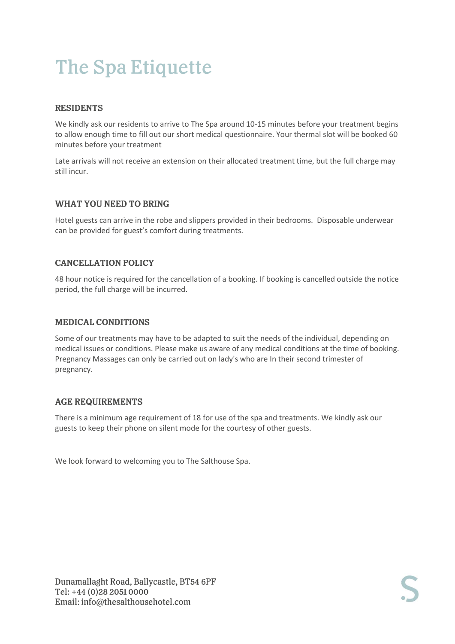# **The Spa Etiquette**

### **RESIDENTS**

We kindly ask our residents to arrive to The Spa around 10-15 minutes before your treatment begins to allow enough time to fill out our short medical questionnaire. Your thermal slot will be booked 60 minutes before your treatment

Late arrivals will not receive an extension on their allocated treatment time, but the full charge may still incur.

### **WHAT YOU NEED TO BRING**

Hotel guests can arrive in the robe and slippers provided in their bedrooms. Disposable underwear can be provided for guest's comfort during treatments.

### **CANCELLATION POLICY**

48 hour notice is required for the cancellation of a booking. If booking is cancelled outside the notice period, the full charge will be incurred.

### **MEDICAL CONDITIONS**

Some of our treatments may have to be adapted to suit the needs of the individual, depending on medical issues or conditions. Please make us aware of any medical conditions at the time of booking. Pregnancy Massages can only be carried out on lady's who are In their second trimester of pregnancy.

### **AGE REQUIREMENTS**

There is a minimum age requirement of 18 for use of the spa and treatments. We kindly ask our guests to keep their phone on silent mode for the courtesy of other guests.

We look forward to welcoming you to The Salthouse Spa.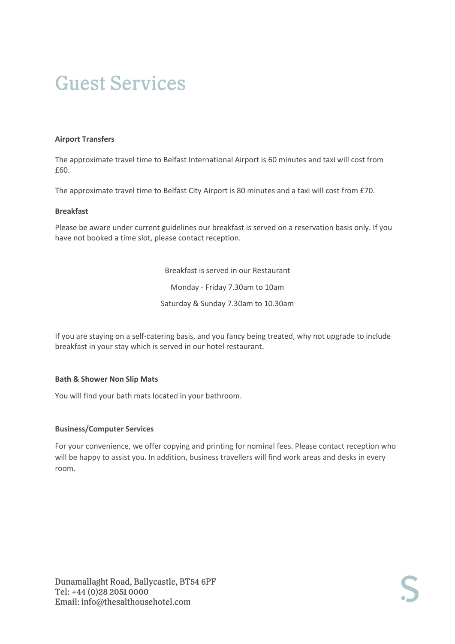#### **Airport Transfers**

The approximate travel time to Belfast International Airport is 60 minutes and taxi will cost from £60.

The approximate travel time to Belfast City Airport is 80 minutes and a taxi will cost from £70.

#### **Breakfast**

Please be aware under current guidelines our breakfast is served on a reservation basis only. If you have not booked a time slot, please contact reception.

> Breakfast is served in our Restaurant Monday - Friday 7.30am to 10am Saturday & Sunday 7.30am to 10.30am

If you are staying on a self-catering basis, and you fancy being treated, why not upgrade to include breakfast in your stay which is served in our hotel restaurant.

#### **Bath & Shower Non Slip Mats**

You will find your bath mats located in your bathroom.

#### **Business/Computer Services**

For your convenience, we offer copying and printing for nominal fees. Please contact reception who will be happy to assist you. In addition, business travellers will find work areas and desks in every room.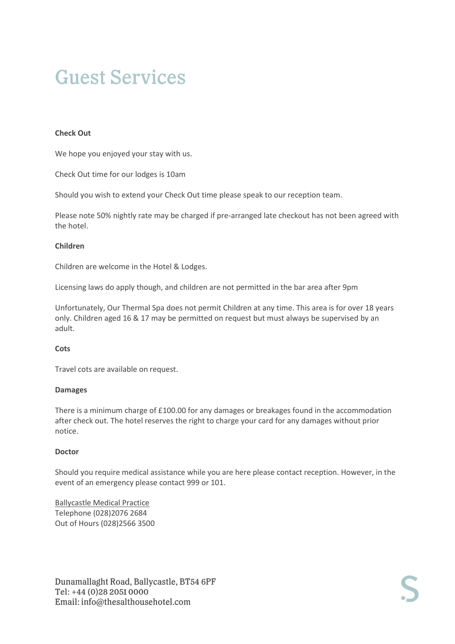#### **Check Out**

We hope you enjoyed your stay with us.

Check Out time for our lodges is 10am

Should you wish to extend your Check Out time please speak to our reception team.

Please note 50% nightly rate may be charged if pre-arranged late checkout has not been agreed with the hotel.

#### **Children**

Children are welcome in the Hotel & Lodges.

Licensing laws do apply though, and children are not permitted in the bar area after 9pm

Unfortunately, Our Thermal Spa does not permit Children at any time. This area is for over 18 years only. Children aged 16 & 17 may be permitted on request but must always be supervised by an adult.

#### **Cots**

Travel cots are available on request.

#### **Damages**

There is a minimum charge of £100.00 for any damages or breakages found in the accommodation after check out. The hotel reserves the right to charge your card for any damages without prior notice.

#### **Doctor**

Should you require medical assistance while you are here please contact reception. However, in the event of an emergency please contact 999 or 101.

Ballycastle Medical Practice Telephone (028)2076 2684 Out of Hours (028)2566 3500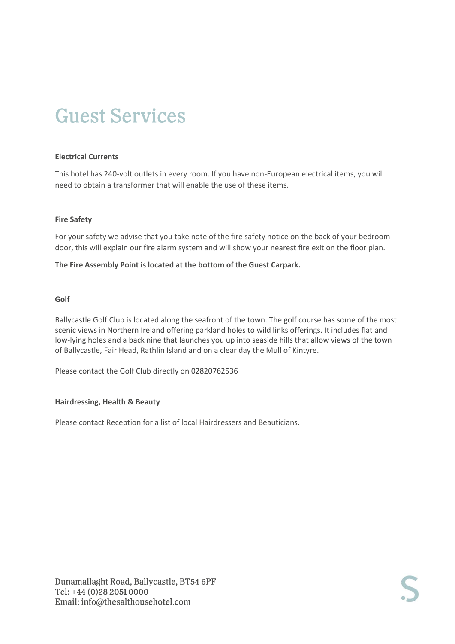#### **Electrical Currents**

This hotel has 240-volt outlets in every room. If you have non-European electrical items, you will need to obtain a transformer that will enable the use of these items.

#### **Fire Safety**

For your safety we advise that you take note of the fire safety notice on the back of your bedroom door, this will explain our fire alarm system and will show your nearest fire exit on the floor plan.

#### **The Fire Assembly Point is located at the bottom of the Guest Carpark.**

#### **Golf**

Ballycastle Golf Club is located along the seafront of the town. The golf course has some of the most scenic views in Northern Ireland offering parkland holes to wild links offerings. It includes flat and low-lying holes and a back nine that launches you up into seaside hills that allow views of the town of Ballycastle, Fair Head, Rathlin Island and on a clear day the Mull of Kintyre.

Please contact the Golf Club directly on 02820762536

#### **Hairdressing, Health & Beauty**

Please contact Reception for a list of local Hairdressers and Beauticians.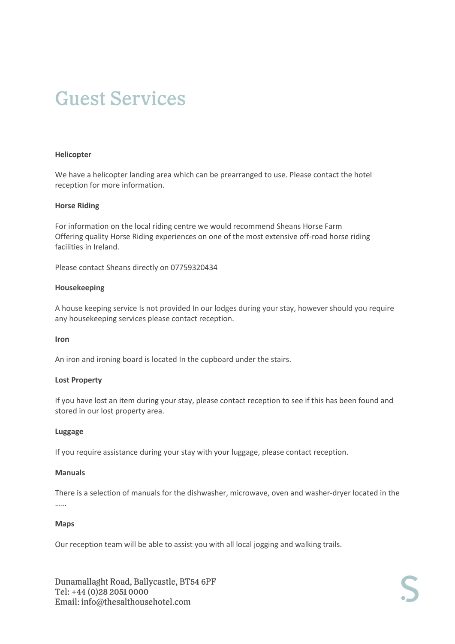#### **Helicopter**

We have a helicopter landing area which can be prearranged to use. Please contact the hotel reception for more information.

#### **Horse Riding**

For information on the local riding centre we would recommend Sheans Horse Farm Offering quality Horse Riding experiences on one of the most extensive off-road horse riding facilities in Ireland.

Please contact Sheans directly on 07759320434

#### **Housekeeping**

A house keeping service Is not provided In our lodges during your stay, however should you require any housekeeping services please contact reception.

#### **Iron**

An iron and ironing board is located In the cupboard under the stairs.

#### **Lost Property**

If you have lost an item during your stay, please contact reception to see if this has been found and stored in our lost property area.

#### **Luggage**

If you require assistance during your stay with your luggage, please contact reception.

#### **Manuals**

There is a selection of manuals for the dishwasher, microwave, oven and washer-dryer located in the ……

#### **Maps**

Our reception team will be able to assist you with all local jogging and walking trails.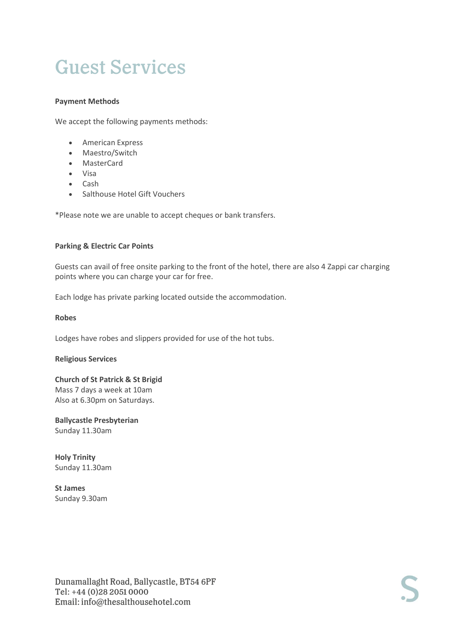#### **Payment Methods**

We accept the following payments methods:

- American Express
- Maestro/Switch
- MasterCard
- Visa
- Cash
- Salthouse Hotel Gift Vouchers

\*Please note we are unable to accept cheques or bank transfers.

#### **Parking & Electric Car Points**

Guests can avail of free onsite parking to the front of the hotel, there are also 4 Zappi car charging points where you can charge your car for free.

Each lodge has private parking located outside the accommodation.

#### **Robes**

Lodges have robes and slippers provided for use of the hot tubs.

#### **Religious Services**

**Church of St Patrick & St Brigid**  Mass 7 days a week at 10am Also at 6.30pm on Saturdays.

**Ballycastle Presbyterian** Sunday 11.30am

**Holy Trinity** Sunday 11.30am

**St James** Sunday 9.30am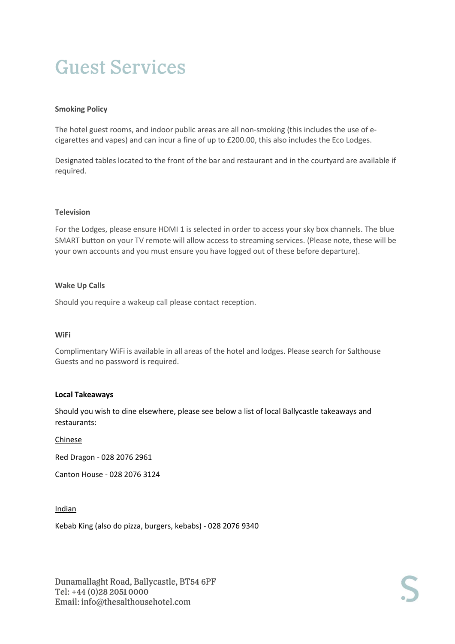#### **Smoking Policy**

The hotel guest rooms, and indoor public areas are all non-smoking (this includes the use of ecigarettes and vapes) and can incur a fine of up to £200.00, this also includes the Eco Lodges.

Designated tables located to the front of the bar and restaurant and in the courtyard are available if required.

#### **Television**

For the Lodges, please ensure HDMI 1 is selected in order to access your sky box channels. The blue SMART button on your TV remote will allow access to streaming services. (Please note, these will be your own accounts and you must ensure you have logged out of these before departure).

#### **Wake Up Calls**

Should you require a wakeup call please contact reception.

#### **WiFi**

Complimentary WiFi is available in all areas of the hotel and lodges. Please search for Salthouse Guests and no password is required.

#### **Local Takeaways**

Should you wish to dine elsewhere, please see below a list of local Ballycastle takeaways and restaurants:

#### Chinese

Red Dragon - 028 2076 2961

Canton House - 028 2076 3124

#### Indian

Kebab King (also do pizza, burgers, kebabs) - 028 2076 9340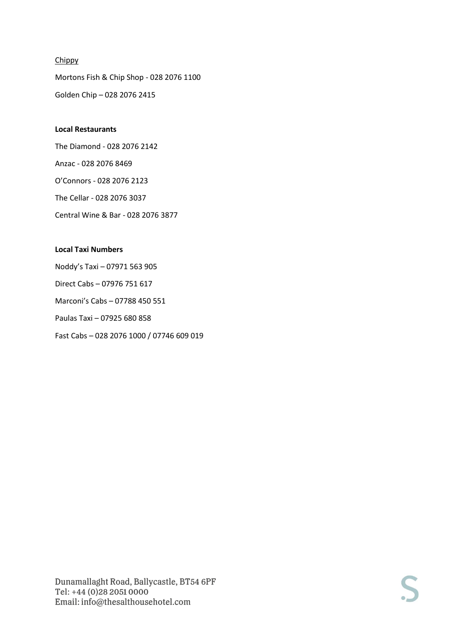### **Chippy**

Mortons Fish & Chip Shop - 028 2076 1100 Golden Chip – 028 2076 2415

### **Local Restaurants**

The Diamond - 028 2076 2142 Anzac - 028 2076 8469 O'Connors - 028 2076 2123 The Cellar - 028 2076 3037 Central Wine & Bar - 028 2076 3877

### **Local Taxi Numbers**

Noddy's Taxi – 07971 563 905 Direct Cabs – 07976 751 617 Marconi's Cabs – 07788 450 551 Paulas Taxi – 07925 680 858 Fast Cabs – 028 2076 1000 / 07746 609 019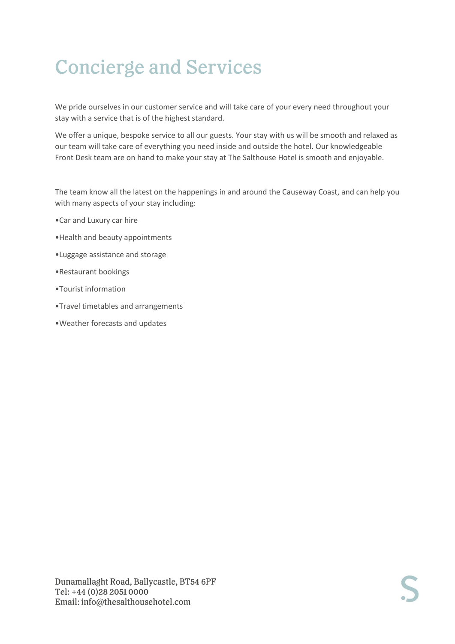# **Concierge and Services**

We pride ourselves in our customer service and will take care of your every need throughout your stay with a service that is of the highest standard.

We offer a unique, bespoke service to all our guests. Your stay with us will be smooth and relaxed as our team will take care of everything you need inside and outside the hotel. Our knowledgeable Front Desk team are on hand to make your stay at The Salthouse Hotel is smooth and enjoyable.

The team know all the latest on the happenings in and around the Causeway Coast, and can help you with many aspects of your stay including:

- •Car and Luxury car hire
- •Health and beauty appointments
- •Luggage assistance and storage
- •Restaurant bookings
- •Tourist information
- •Travel timetables and arrangements
- •Weather forecasts and updates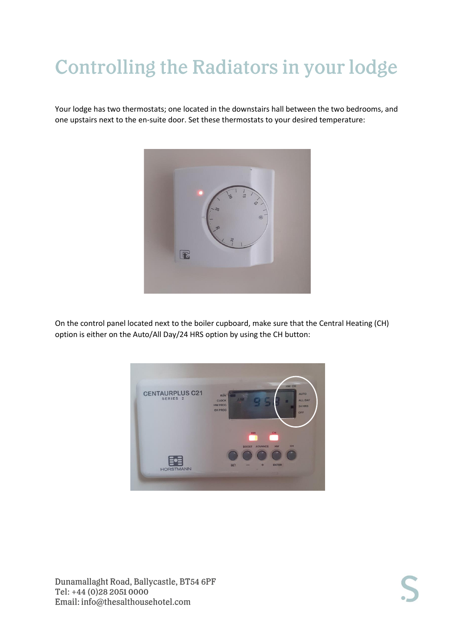# **Controlling the Radiators in your lodge**

Your lodge has two thermostats; one located in the downstairs hall between the two bedrooms, and one upstairs next to the en-suite door. Set these thermostats to your desired temperature:



On the control panel located next to the boiler cupboard, make sure that the Central Heating (CH) option is either on the Auto/All Day/24 HRS option by using the CH button:

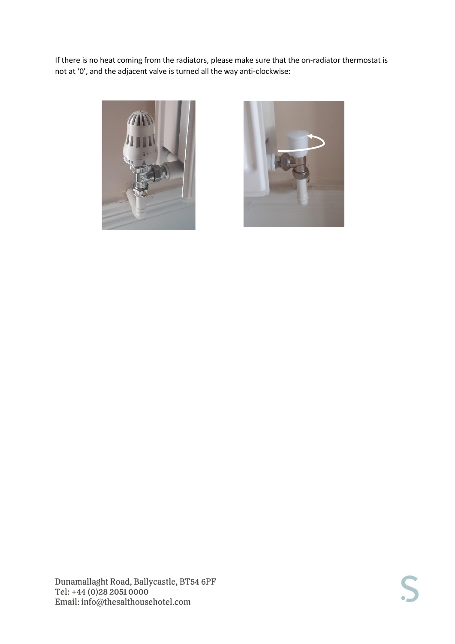If there is no heat coming from the radiators, please make sure that the on-radiator thermostat is not at '0', and the adjacent valve is turned all the way anti-clockwise:



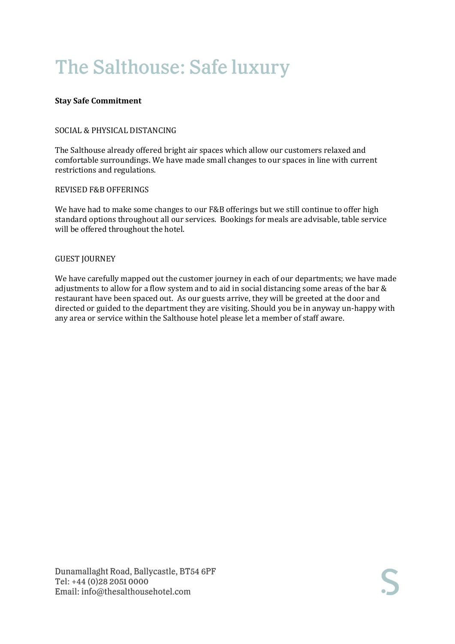# The Salthouse: Safe luxury

#### **Stay Safe Commitment**

#### SOCIAL & PHYSICAL DISTANCING

The Salthouse already offered bright air spaces which allow our customers relaxed and comfortable surroundings. We have made small changes to our spaces in line with current restrictions and regulations.

#### REVISED F&B OFFERINGS

We have had to make some changes to our F&B offerings but we still continue to offer high standard options throughout all our services. Bookings for meals are advisable, table service will be offered throughout the hotel.

#### GUEST JOURNEY

We have carefully mapped out the customer journey in each of our departments; we have made adjustments to allow for a flow system and to aid in social distancing some areas of the bar & restaurant have been spaced out. As our guests arrive, they will be greeted at the door and directed or guided to the department they are visiting. Should you be in anyway un-happy with any area or service within the Salthouse hotel please let a member of staff aware.